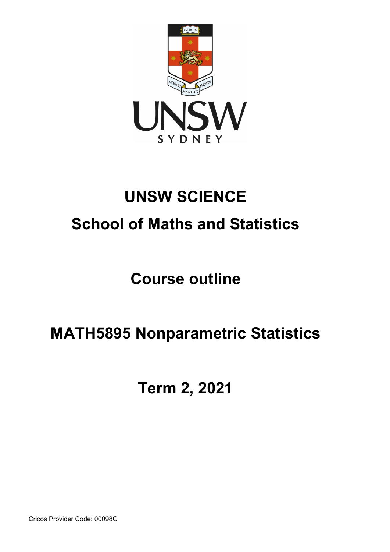

# **UNSW SCIENCE School of Maths and Statistics**

# **Course outline**

# **MATH5895 Nonparametric Statistics**

**Term 2, 2021**

Cricos Provider Code: 00098G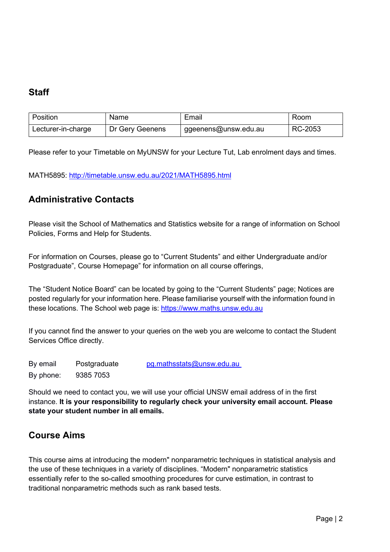# **Staff**

| Position           | Name            | Email                | Room    |
|--------------------|-----------------|----------------------|---------|
| Lecturer-in-charge | Dr Gery Geenens | ggeenens@unsw.edu.au | RC-2053 |

Please refer to your Timetable on MyUNSW for your Lecture Tut, Lab enrolment days and times.

MATH5895:<http://timetable.unsw.edu.au/2021/MATH5895.html>

## **Administrative Contacts**

Please visit the School of Mathematics and Statistics website for a range of information on School Policies, Forms and Help for Students.

For information on Courses, please go to "Current Students" and either Undergraduate and/or Postgraduate", Course Homepage" for information on all course offerings,

The "Student Notice Board" can be located by going to the "Current Students" page; Notices are posted regularly for your information here. Please familiarise yourself with the information found in these locations. The School web page is: [https://www.maths.unsw.edu.au](https://www.maths.unsw.edu.au/)

If you cannot find the answer to your queries on the web you are welcome to contact the Student Services Office directly.

By email Postgraduate [pg.mathsstats@unsw.edu.au](mailto:pg.mathsstats@unsw.edu.au) By phone: 9385 7053

Should we need to contact you, we will use your official UNSW email address of in the first instance. **It is your responsibility to regularly check your university email account. Please state your student number in all emails.**

# **Course Aims**

This course aims at introducing the modern" nonparametric techniques in statistical analysis and the use of these techniques in a variety of disciplines. "Modern" nonparametric statistics essentially refer to the so-called smoothing procedures for curve estimation, in contrast to traditional nonparametric methods such as rank based tests.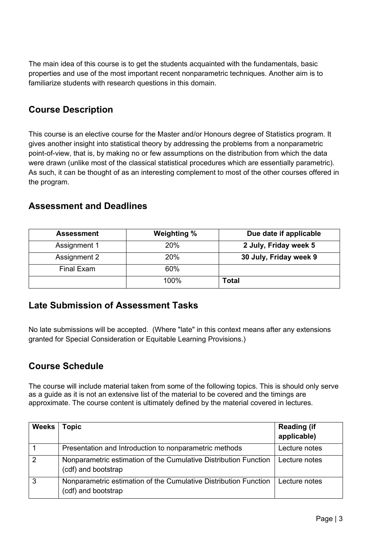The main idea of this course is to get the students acquainted with the fundamentals, basic properties and use of the most important recent nonparametric techniques. Another aim is to familiarize students with research questions in this domain.

## **Course Description**

This course is an elective course for the Master and/or Honours degree of Statistics program. It gives another insight into statistical theory by addressing the problems from a nonparametric point-of-view, that is, by making no or few assumptions on the distribution from which the data were drawn (unlike most of the classical statistical procedures which are essentially parametric). As such, it can be thought of as an interesting complement to most of the other courses offered in the program.

### **Assessment and Deadlines**

| <b>Assessment</b> | Weighting % | Due date if applicable |  |
|-------------------|-------------|------------------------|--|
| Assignment 1      | 20%         | 2 July, Friday week 5  |  |
| Assignment 2      | 20%         | 30 July, Friday week 9 |  |
| Final Exam        | 60%         |                        |  |
|                   | 100%        | <b>Total</b>           |  |

## **Late Submission of Assessment Tasks**

No late submissions will be accepted. (Where "late" in this context means after any extensions granted for Special Consideration or Equitable Learning Provisions.)

## **Course Schedule**

The course will include material taken from some of the following topics. This is should only serve as a guide as it is not an extensive list of the material to be covered and the timings are approximate. The course content is ultimately defined by the material covered in lectures.

| <b>Weeks</b>  | opic.                                                                                   | <b>Reading (if</b><br>applicable) |
|---------------|-----------------------------------------------------------------------------------------|-----------------------------------|
|               | Presentation and Introduction to nonparametric methods                                  | Lecture notes                     |
| $\mathcal{P}$ | Nonparametric estimation of the Cumulative Distribution Function<br>(cdf) and bootstrap | Lecture notes                     |
| 3             | Nonparametric estimation of the Cumulative Distribution Function<br>(cdf) and bootstrap | Lecture notes                     |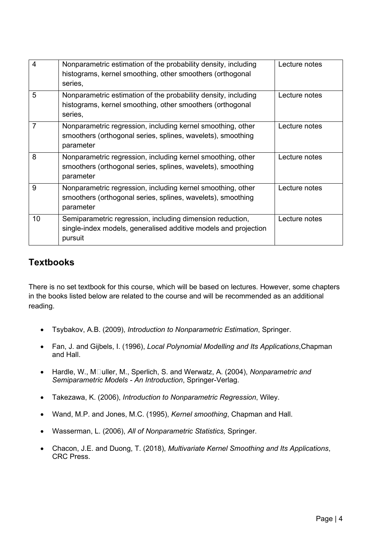| $\overline{4}$ | Nonparametric estimation of the probability density, including<br>histograms, kernel smoothing, other smoothers (orthogonal<br>series,  | Lecture notes |
|----------------|-----------------------------------------------------------------------------------------------------------------------------------------|---------------|
| 5              | Nonparametric estimation of the probability density, including<br>histograms, kernel smoothing, other smoothers (orthogonal<br>series,  | Lecture notes |
| $\overline{7}$ | Nonparametric regression, including kernel smoothing, other<br>smoothers (orthogonal series, splines, wavelets), smoothing<br>parameter | Lecture notes |
| 8              | Nonparametric regression, including kernel smoothing, other<br>smoothers (orthogonal series, splines, wavelets), smoothing<br>parameter | Lecture notes |
| 9              | Nonparametric regression, including kernel smoothing, other<br>smoothers (orthogonal series, splines, wavelets), smoothing<br>parameter | Lecture notes |
| 10             | Semiparametric regression, including dimension reduction,<br>single-index models, generalised additive models and projection<br>pursuit | Lecture notes |

## **Textbooks**

There is no set textbook for this course, which will be based on lectures. However, some chapters in the books listed below are related to the course and will be recommended as an additional reading.

- Tsybakov, A.B. (2009), *Introduction to Nonparametric Estimation*, Springer.
- Fan, J. and Gijbels, I. (1996), *Local Polynomial Modelling and Its Applications*,Chapman and Hall.
- Hardle, W., M**Duller, M., Sperlich, S. and Werwatz, A.** (2004), *Nonparametric and Semiparametric Models - An Introduction*, Springer-Verlag.
- Takezawa, K. (2006), *Introduction to Nonparametric Regression*, Wiley.
- Wand, M.P. and Jones, M.C. (1995), *Kernel smoothing*, Chapman and Hall.
- Wasserman, L. (2006), *All of Nonparametric Statistics,* Springer.
- Chacon, J.E. and Duong, T. (2018), *Multivariate Kernel Smoothing and Its Applications*, CRC Press.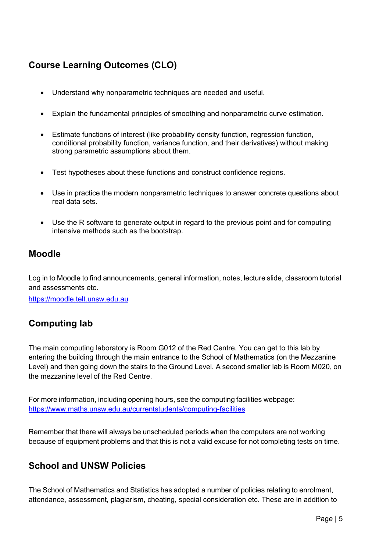# **Course Learning Outcomes (CLO)**

- Understand why nonparametric techniques are needed and useful.
- Explain the fundamental principles of smoothing and nonparametric curve estimation.
- Estimate functions of interest (like probability density function, regression function, conditional probability function, variance function, and their derivatives) without making strong parametric assumptions about them.
- Test hypotheses about these functions and construct confidence regions.
- Use in practice the modern nonparametric techniques to answer concrete questions about real data sets.
- Use the R software to generate output in regard to the previous point and for computing intensive methods such as the bootstrap.

### **Moodle**

Log in to Moodle to find announcements, general information, notes, lecture slide, classroom tutorial and assessments etc.

[https://moodle.telt.unsw.edu.au](https://moodle.telt.unsw.edu.au/)

# **Computing lab**

The main computing laboratory is Room G012 of the Red Centre. You can get to this lab by entering the building through the main entrance to the School of Mathematics (on the Mezzanine Level) and then going down the stairs to the Ground Level. A second smaller lab is Room M020, on the mezzanine level of the Red Centre.

For more information, including opening hours, see the computing facilities webpage: <https://www.maths.unsw.edu.au/currentstudents/computing-facilities>

Remember that there will always be unscheduled periods when the computers are not working because of equipment problems and that this is not a valid excuse for not completing tests on time.

## **School and UNSW Policies**

The School of Mathematics and Statistics has adopted a number of policies relating to enrolment, attendance, assessment, plagiarism, cheating, special consideration etc. These are in addition to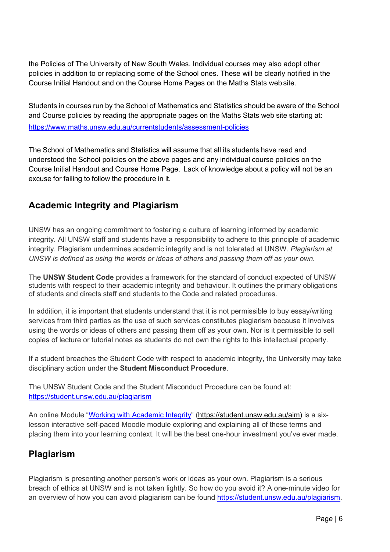the Policies of The University of New South Wales. Individual courses may also adopt other policies in addition to or replacing some of the School ones. These will be clearly notified in the Course Initial Handout and on the Course Home Pages on the Maths Stats web site.

Students in courses run by the School of Mathematics and Statistics should be aware of the School and Course policies by reading the appropriate pages on the Maths Stats web site starting at: https:/[/www.maths.unsw.edu.au/currentstudents/assessment-policies](http://www.maths.unsw.edu.au/currentstudents/assessment-policies)

The School of Mathematics and Statistics will assume that all its students have read and understood the School policies on the above pages and any individual course policies on the Course Initial Handout and Course Home Page. Lack of knowledge about a policy will not be an excuse for failing to follow the procedure in it.

# **Academic Integrity and Plagiarism**

UNSW has an ongoing commitment to fostering a culture of learning informed by academic integrity. All UNSW staff and students have a responsibility to adhere to this principle of academic integrity. Plagiarism undermines academic integrity and is not tolerated at UNSW. *Plagiarism at UNSW is defined as using the words or ideas of others and passing them off as your own.*

The **UNSW Student Code** provides a framework for the standard of conduct expected of UNSW students with respect to their academic integrity and behaviour. It outlines the primary obligations of students and directs staff and students to the Code and related procedures.

In addition, it is important that students understand that it is not permissible to buy essay/writing services from third parties as the use of such services constitutes plagiarism because it involves using the words or ideas of others and passing them off as your own. Nor is it permissible to sell copies of lecture or tutorial notes as students do not own the rights to this intellectual property.

If a student breaches the Student Code with respect to academic integrity, the University may take disciplinary action under the **Student Misconduct Procedure**.

The UNSW Student Code and the Student Misconduct Procedure can be found at: <https://student.unsw.edu.au/plagiarism>

An online Module ["Working with Academic Integrity"](https://student.unsw.edu.au/aim) [\(https://student.unsw.edu.au/aim\)](https://student.unsw.edu.au/aim) is a sixlesson interactive self-paced Moodle module exploring and explaining all of these terms and placing them into your learning context. It will be the best one-hour investment you've ever made.

# **Plagiarism**

Plagiarism is presenting another person's work or ideas as your own. Plagiarism is a serious breach of ethics at UNSW and is not taken lightly. So how do you avoid it? A one-minute video for an overview of how you can avoid plagiarism can be found [https://student.unsw.edu.au/plagiarism.](https://student.unsw.edu.au/plagiarism)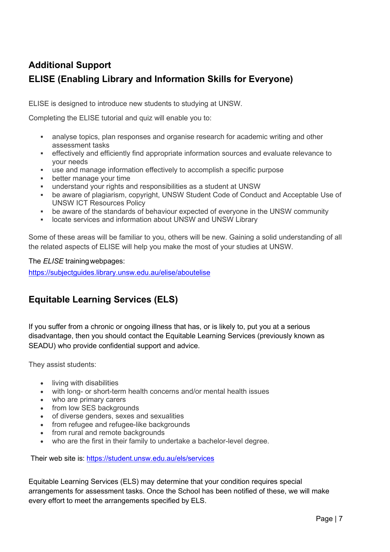# **Additional Support ELISE (Enabling Library and Information Skills for Everyone)**

ELISE is designed to introduce new students to studying at UNSW.

Completing the ELISE tutorial and quiz will enable you to:

- analyse topics, plan responses and organise research for academic writing and other assessment tasks
- effectively and efficiently find appropriate information sources and evaluate relevance to your needs
- use and manage information effectively to accomplish a specific purpose
- better manage your time
- understand your rights and responsibilities as a student at UNSW
- be aware of plagiarism, copyright, UNSW Student Code of Conduct and Acceptable Use of UNSW ICT Resources Policy
- be aware of the standards of behaviour expected of everyone in the UNSW community
- locate services and information about UNSW and UNSW Library

Some of these areas will be familiar to you, others will be new. Gaining a solid understanding of all the related aspects of ELISE will help you make the most of your studies at UNSW.

#### The *ELISE* trainingwebpages:

<https://subjectguides.library.unsw.edu.au/elise/aboutelise>

# **Equitable Learning Services (ELS)**

If you suffer from a chronic or ongoing illness that has, or is likely to, put you at a serious disadvantage, then you should contact the Equitable Learning Services (previously known as SEADU) who provide confidential support and advice.

They assist students:

- living with disabilities
- with long- or short-term health concerns and/or mental health issues
- who are primary carers
- from low SES backgrounds
- of diverse genders, sexes and sexualities
- from refugee and refugee-like backgrounds
- from rural and remote backgrounds
- who are the first in their family to undertake a bachelor-level degree.

Their web site is: <https://student.unsw.edu.au/els/services>

Equitable Learning Services (ELS) may determine that your condition requires special arrangements for assessment tasks. Once the School has been notified of these, we will make every effort to meet the arrangements specified by ELS.